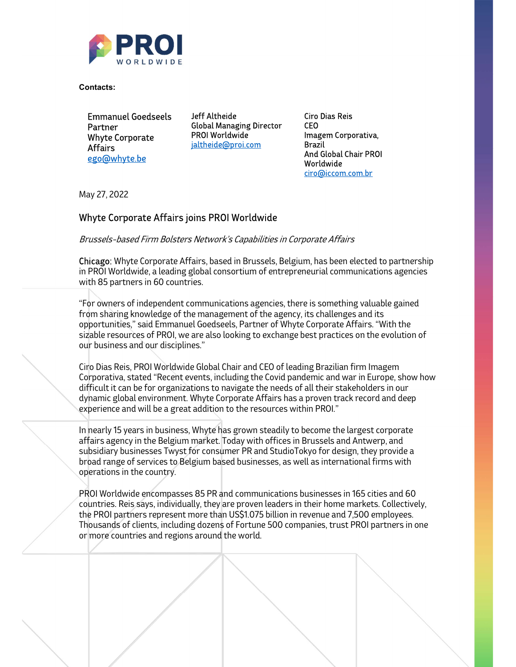

Contacts:

Emmanuel Goedseels Partner Whyte Corporate Affairs ego@whyte.be

Global Managing Director CEO PROI Worldwide jaltheide@proi.com

Ciro Dias Reis Imagem Corporativa, Brazil And Global Chair PROI Worldwide ciro@iccom.com.br

and the state of the state

May 27, 2022

## Whyte Corporate Affairs joins PROI Worldwide

Brussels-based Firm Bolsters Network's Capabilities in Corporate Affairs

Chicago: Whyte Corporate Affairs, based in Brussels, Belgium, has been elected to partnership in PROI Worldwide, a leading global consortium of entrepreneurial communications agencies with 85 partners in 60 countries.

"For owners of independent communications agencies, there is something valuable gained from sharing knowledge of the management of the agency, its challenges and its opportunities," said Emmanuel Goedseels, Partner of Whyte Corporate Affairs. "With the sizable resources of PROI, we are also looking to exchange best practices on the evolution of our business and our disciplines."

Ciro Dias Reis, PROI Worldwide Global Chair and CEO of leading Brazilian firm Imagem Corporativa, stated "Recent events, including the Covid pandemic and war in Europe, show how difficult it can be for organizations to navigate the needs of all their stakeholders in our dynamic global environment. Whyte Corporate Affairs has a proven track record and deep experience and will be a great addition to the resources within PROI."

In nearly 15 years in business, Whyte has grown steadily to become the largest corporate affairs agency in the Belgium market. Today with offices in Brussels and Antwerp, and subsidiary businesses Twyst for consumer PR and StudioTokyo for design, they provide a broad range of services to Belgium based businesses, as well as international firms with operations in the country.

PROI Worldwide encompasses 85 PR and communications businesses in 165 cities and 60 countries. Reis says, individually, they are proven leaders in their home markets. Collectively, the PROI partners represent more than US\$1.075 billion in revenue and 7,500 employees. Thousands of clients, including dozens of Fortune 500 companies, trust PROI partners in one or more countries and regions around the world.